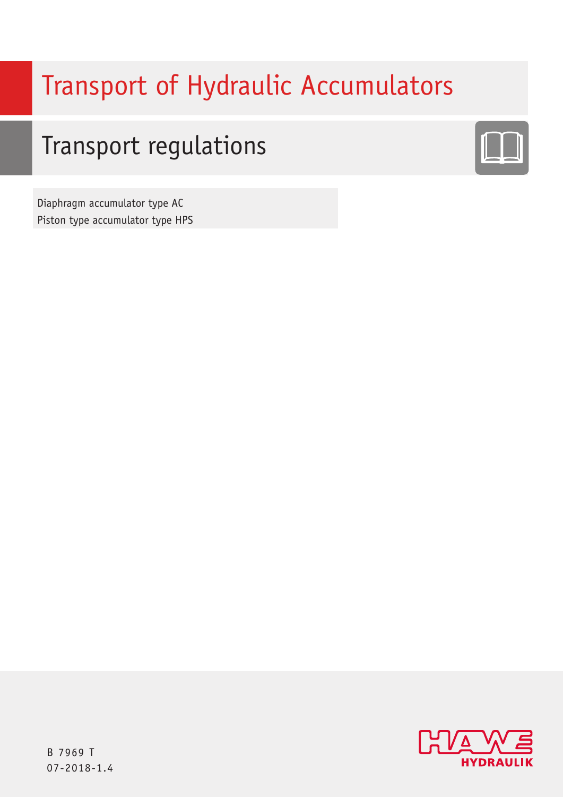# Transport of Hydraulic Accumulators

# Transport regulations



Diaphragm accumulator type AC Piston type accumulator type HPS

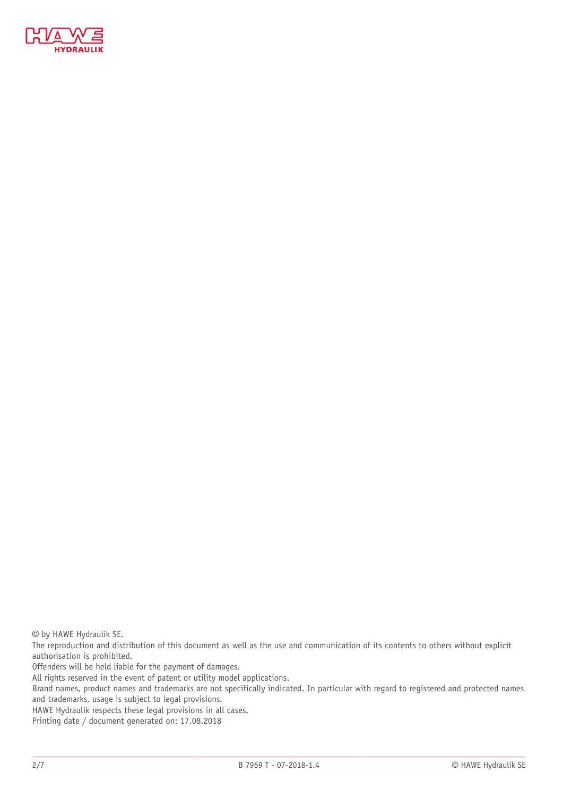

© by HAWE Hydraulik SE.

The reproduction and distribution of this document as well as the use and communication of its contents to others without explicit authorisation is prohibited.

Offenders will be held liable for the payment of damages.

All rights reserved in the event of patent or utility model applications.

Brand names, product names and trademarks are not specifically indicated. In particular with regard to registered and protected names and trademarks, usage is subject to legal provisions.

HAWE Hydraulik respects these legal provisions in all cases.

Printing date / document generated on: 17.08.2018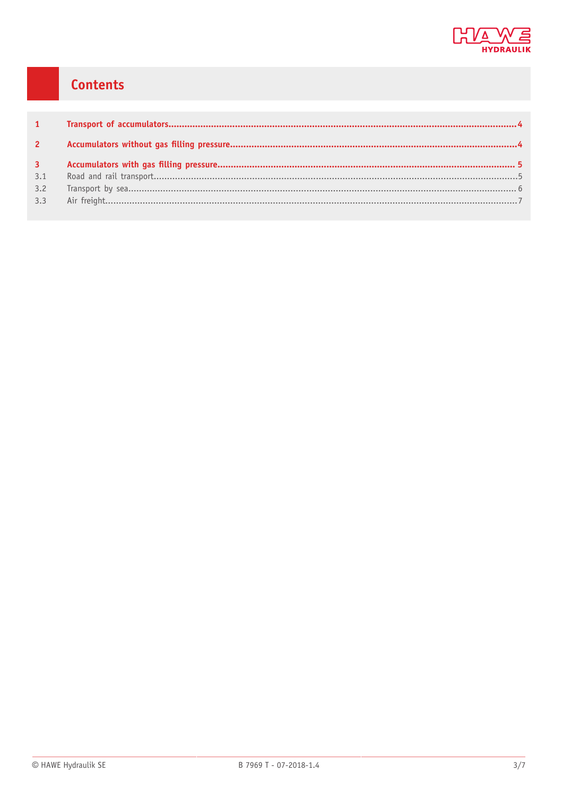

# Contents

| $\overline{3}$ |  |
|----------------|--|
| 3.1            |  |
| 3.2            |  |
| 3.3            |  |
|                |  |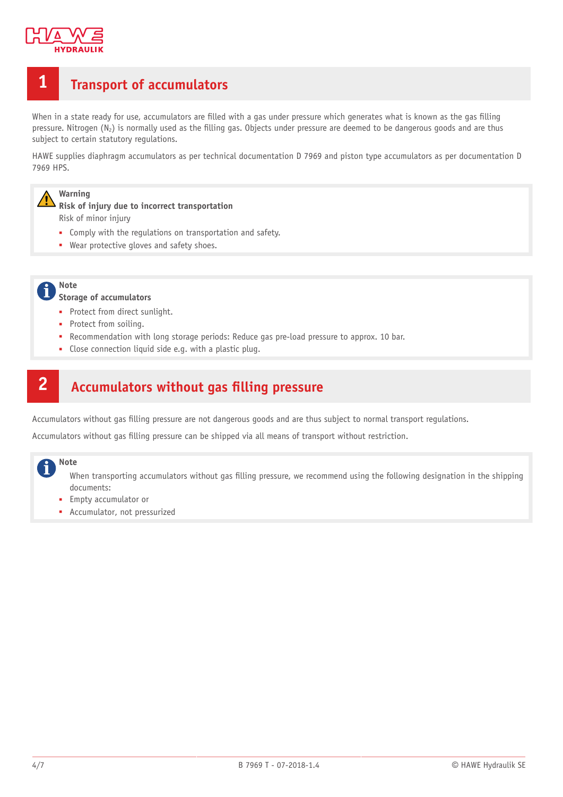

# <span id="page-3-0"></span>**1 Transport of accumulators**

When in a state ready for use, accumulators are filled with a gas under pressure which generates what is known as the gas filling pressure. Nitrogen  $(N_2)$  is normally used as the filling gas. Objects under pressure are deemed to be dangerous goods and are thus subject to certain statutory regulations.

HAWE supplies diaphragm accumulators as per technical documentation D 7969 and piston type accumulators as per documentation D 7969 HPS.

## **Warning**

**Risk of injury due to incorrect transportation** Risk of minor injury

- Comply with the regulations on transportation and safety.
- Wear protective gloves and safety shoes.

**Note**

#### **Storage of accumulators**

- Protect from direct sunlight.
- Protect from soiling.
- Recommendation with long storage periods: Reduce gas pre-load pressure to approx. 10 bar.
- Close connection liquid side e.g. with a plastic plug.

# <span id="page-3-1"></span>**2 Accumulators without gas lling pressure**

Accumulators without gas filling pressure are not dangerous goods and are thus subject to normal transport regulations.

Accumulators without gas filling pressure can be shipped via all means of transport without restriction.

#### **Note**

When transporting accumulators without gas filling pressure, we recommend using the following designation in the shipping documents:

- Empty accumulator or
- Accumulator, not pressurized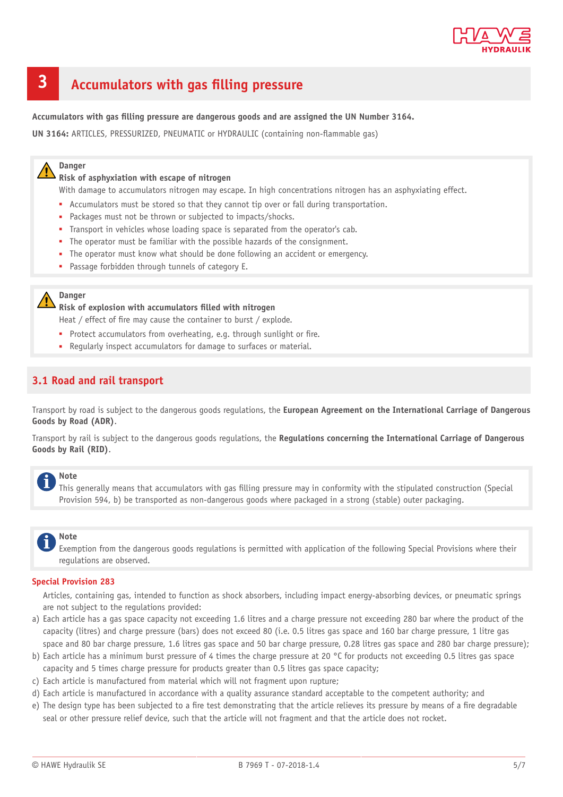

# <span id="page-4-0"></span>**3 Accumulators with gas lling pressure**

**Accumulators with gas lling pressure are dangerous goods and are assigned the UN Number 3164.**

**UN 3164: ARTICLES, PRESSURIZED, PNEUMATIC or HYDRAULIC (containing non-flammable gas)** 

#### **Danger**

**Risk of asphyxiation with escape of nitrogen**

With damage to accumulators nitrogen may escape. In high concentrations nitrogen has an asphyxiating effect.

- Accumulators must be stored so that they cannot tip over or fall during transportation.
- Packages must not be thrown or subjected to impacts/shocks.
- Transport in vehicles whose loading space is separated from the operator's cab.
- The operator must be familiar with the possible hazards of the consignment.
- The operator must know what should be done following an accident or emergency.
- Passage forbidden through tunnels of category E.

#### **Danger**

**Risk of explosion with accumulators lled with nitrogen**

Heat / effect of fire may cause the container to burst / explode.

- Protect accumulators from overheating, e.g. through sunlight or fire.
- Regularly inspect accumulators for damage to surfaces or material.

#### <span id="page-4-1"></span>**3.1 Road and rail transport**

Transport by road is subject to the dangerous goods regulations, the **European Agreement on the International Carriage of Dangerous Goods by Road (ADR)**.

Transport by rail is subject to the dangerous goods regulations, the **Regulations concerning the International Carriage of Dangerous Goods by Rail (RID)**.

### **Note**

This generally means that accumulators with gas filling pressure may in conformity with the stipulated construction (Special Provision 594, b) be transported as non-dangerous goods where packaged in a strong (stable) outer packaging.

#### **Note**

Exemption from the dangerous goods regulations is permitted with application of the following Special Provisions where their regulations are observed.

#### **Special Provision 283**

Articles, containing gas, intended to function as shock absorbers, including impact energy-absorbing devices, or pneumatic springs are not subject to the regulations provided:

- a) Each article has a gas space capacity not exceeding 1.6 litres and a charge pressure not exceeding 280 bar where the product of the capacity (litres) and charge pressure (bars) does not exceed 80 (i.e. 0.5 litres gas space and 160 bar charge pressure, 1 litre gas space and 80 bar charge pressure, 1.6 litres gas space and 50 bar charge pressure, 0.28 litres gas space and 280 bar charge pressure);
- b) Each article has a minimum burst pressure of 4 times the charge pressure at 20 °C for products not exceeding 0.5 litres gas space capacity and 5 times charge pressure for products greater than 0.5 litres gas space capacity;
- c) Each article is manufactured from material which will not fragment upon rupture;
- d) Each article is manufactured in accordance with a quality assurance standard acceptable to the competent authority; and
- e) The design type has been subjected to a fire test demonstrating that the article relieves its pressure by means of a fire degradable seal or other pressure relief device, such that the article will not fragment and that the article does not rocket.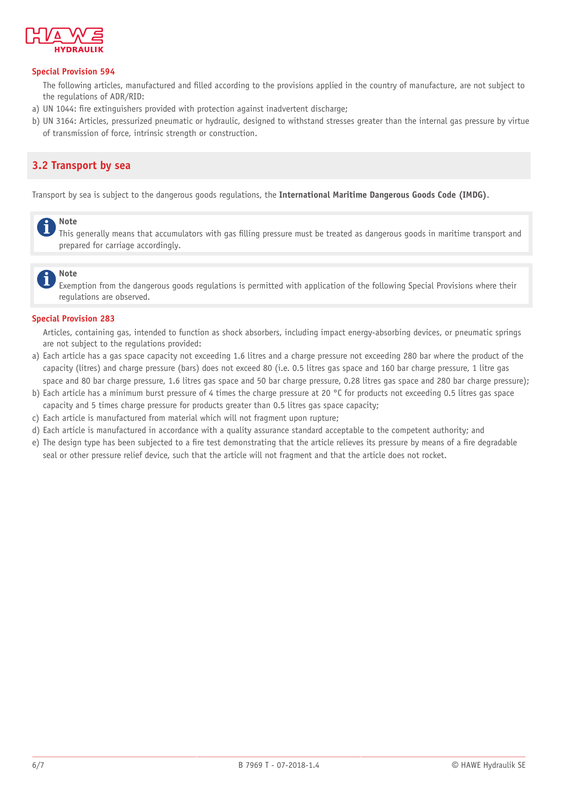

#### **Special Provision 594**

The following articles, manufactured and filled according to the provisions applied in the country of manufacture, are not subject to the regulations of ADR/RID:

- a) UN 1044: fire extinguishers provided with protection against inadvertent discharge;
- b) UN 3164: Articles, pressurized pneumatic or hydraulic, designed to withstand stresses greater than the internal gas pressure by virtue of transmission of force, intrinsic strength or construction.

# <span id="page-5-0"></span>**3.2 Transport by sea**

Transport by sea is subject to the dangerous goods regulations, the **International Maritime Dangerous Goods Code (IMDG)**.

# **Note**

This generally means that accumulators with gas filling pressure must be treated as dangerous goods in maritime transport and prepared for carriage accordingly.

## **Note**

Exemption from the dangerous goods regulations is permitted with application of the following Special Provisions where their regulations are observed.

#### **Special Provision 283**

Articles, containing gas, intended to function as shock absorbers, including impact energy-absorbing devices, or pneumatic springs are not subject to the regulations provided:

- a) Each article has a gas space capacity not exceeding 1.6 litres and a charge pressure not exceeding 280 bar where the product of the capacity (litres) and charge pressure (bars) does not exceed 80 (i.e. 0.5 litres gas space and 160 bar charge pressure, 1 litre gas space and 80 bar charge pressure, 1.6 litres gas space and 50 bar charge pressure, 0.28 litres gas space and 280 bar charge pressure);
- b) Each article has a minimum burst pressure of 4 times the charge pressure at 20 °C for products not exceeding 0.5 litres gas space capacity and 5 times charge pressure for products greater than 0.5 litres gas space capacity;
- c) Each article is manufactured from material which will not fragment upon rupture;
- d) Each article is manufactured in accordance with a quality assurance standard acceptable to the competent authority; and
- e) The design type has been subjected to a fire test demonstrating that the article relieves its pressure by means of a fire degradable seal or other pressure relief device, such that the article will not fragment and that the article does not rocket.